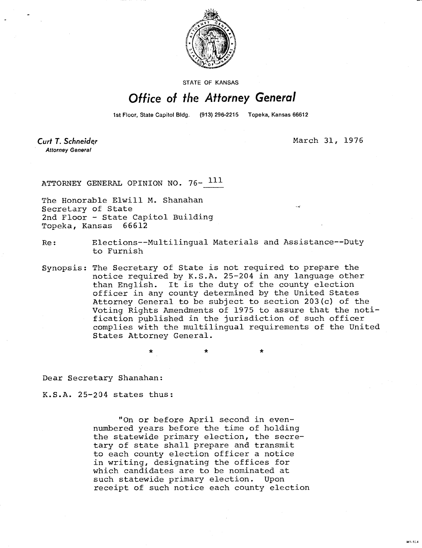

STATE OF KANSAS

## Office of the Attorney General

1st Floor, State Capitol Bldg. (913) 296-2215 Topeka, Kansas 66612

Curt T. Schneider **Attorney General** 

March 31, 1976

M1-104

ATTORNEY GENERAL OPINION NO. 76- 111

The Honorable Elwill M. Shanahan Secretary of State 2nd Floor - State Capitol Building Topeka, Kansas 66612

Re: Elections--Multilingual Materials and Assistance--Duty to Furnish

Synopsis: The Secretary of State is not required to prepare the notice required by K.S.A. 25-204 in any language other than English. It is the duty of the county election officer in any county determined by the United States Attorney General to be subject to section 203(c) of the Voting Rights Amendments of 1975 to assure that the notification published in the jurisdiction of such officer complies with the multilingual requirements of the United States Attorney General.

 $\star$   $\star$   $\star$ 

Dear Secretary Shanahan:

K.S.A. 25-204 states thus:

"On or before April second in evennumbered years before the time of holding the statewide primary election, the secretary of state shall prepare and transmit to each county election officer a notice in writing, designating the offices for which candidates are to be nominated at such statewide primary election. Upon receipt of such notice each county election